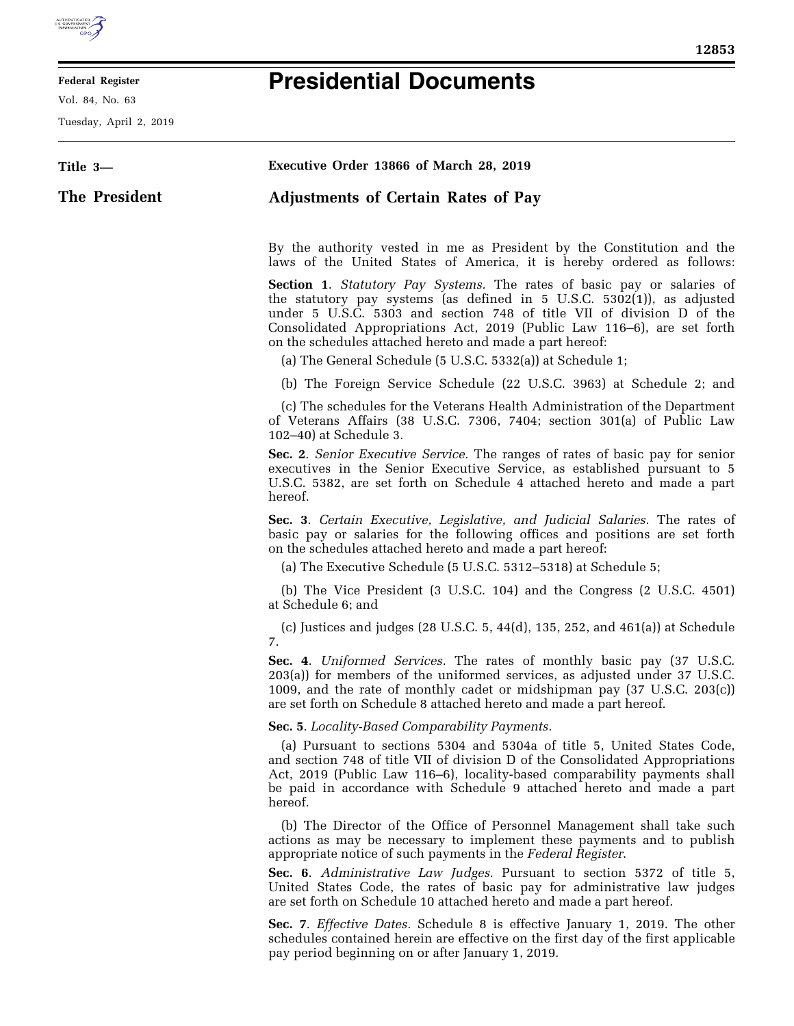

E

# **Federal Register**

Vol. 84, No. 63

Tuesday, April 2, 2019

# **Presidential Documents**

| Title 3-      | Executive Order 13866 of March 28, 2019                                                                                                                                                                                                                                                                                                                                   |  |  |  |  |  |  |  |  |  |  |  |
|---------------|---------------------------------------------------------------------------------------------------------------------------------------------------------------------------------------------------------------------------------------------------------------------------------------------------------------------------------------------------------------------------|--|--|--|--|--|--|--|--|--|--|--|
| The President | <b>Adjustments of Certain Rates of Pay</b>                                                                                                                                                                                                                                                                                                                                |  |  |  |  |  |  |  |  |  |  |  |
|               | By the authority vested in me as President by the Constitution and the<br>laws of the United States of America, it is hereby ordered as follows:                                                                                                                                                                                                                          |  |  |  |  |  |  |  |  |  |  |  |
|               | <b>Section 1.</b> Statutory Pay Systems. The rates of basic pay or salaries of<br>the statutory pay systems (as defined in 5 U.S.C. 5302(1)), as adjusted<br>under 5 U.S.C. 5303 and section 748 of title VII of division D of the<br>Consolidated Appropriations Act, 2019 (Public Law 116-6), are set forth<br>on the schedules attached hereto and made a part hereof: |  |  |  |  |  |  |  |  |  |  |  |
|               | (a) The General Schedule (5 U.S.C. 5332(a)) at Schedule 1;                                                                                                                                                                                                                                                                                                                |  |  |  |  |  |  |  |  |  |  |  |
|               | (b) The Foreign Service Schedule (22 U.S.C. 3963) at Schedule 2; and                                                                                                                                                                                                                                                                                                      |  |  |  |  |  |  |  |  |  |  |  |
|               | (c) The schedules for the Veterans Health Administration of the Department<br>of Veterans Affairs (38 U.S.C. 7306, 7404; section 301(a) of Public Law<br>102-40) at Schedule 3.                                                                                                                                                                                           |  |  |  |  |  |  |  |  |  |  |  |
|               | Sec. 2. Senior Executive Service. The ranges of rates of basic pay for senior<br>executives in the Senior Executive Service, as established pursuant to 5<br>U.S.C. 5382, are set forth on Schedule 4 attached hereto and made a part<br>hereof.                                                                                                                          |  |  |  |  |  |  |  |  |  |  |  |
|               | Sec. 3. Certain Executive, Legislative, and Judicial Salaries. The rates of<br>basic pay or salaries for the following offices and positions are set forth<br>on the schedules attached hereto and made a part hereof:                                                                                                                                                    |  |  |  |  |  |  |  |  |  |  |  |
|               | (a) The Executive Schedule (5 U.S.C. 5312-5318) at Schedule 5;                                                                                                                                                                                                                                                                                                            |  |  |  |  |  |  |  |  |  |  |  |
|               | (b) The Vice President (3 U.S.C. 104) and the Congress (2 U.S.C. 4501)<br>at Schedule 6; and                                                                                                                                                                                                                                                                              |  |  |  |  |  |  |  |  |  |  |  |
|               | (c) Justices and judges (28 U.S.C. $5, 44(d), 135, 252,$ and $461(a)$ ) at Schedule<br>7.                                                                                                                                                                                                                                                                                 |  |  |  |  |  |  |  |  |  |  |  |
|               | Sec. 4. Uniformed Services. The rates of monthly basic pay (37 U.S.C.<br>203(a)) for members of the uniformed services, as adjusted under 37 U.S.C.<br>1009, and the rate of monthly cadet or midshipman pay (37 U.S.C. 203(c))<br>are set forth on Schedule 8 attached hereto and made a part hereof.                                                                    |  |  |  |  |  |  |  |  |  |  |  |
|               | Sec. 5. Locality-Based Comparability Payments.                                                                                                                                                                                                                                                                                                                            |  |  |  |  |  |  |  |  |  |  |  |
|               | (a) Pursuant to sections 5304 and 5304a of title 5, United States Code,<br>and section 748 of title VII of division D of the Consolidated Appropriations<br>Act, 2019 (Public Law 116–6), locality-based comparability payments shall<br>be paid in accordance with Schedule 9 attached hereto and made a part<br>hereof.                                                 |  |  |  |  |  |  |  |  |  |  |  |
|               | (b) The Director of the Office of Personnel Management shall take such<br>actions as may be necessary to implement these payments and to publish<br>appropriate notice of such payments in the Federal Register.                                                                                                                                                          |  |  |  |  |  |  |  |  |  |  |  |
|               | Sec. 6. Administrative Law Judges. Pursuant to section 5372 of title 5,<br>United States Code, the rates of basic pay for administrative law judges<br>are set forth on Schedule 10 attached hereto and made a part hereof.                                                                                                                                               |  |  |  |  |  |  |  |  |  |  |  |
|               | Sec. 7. Effective Dates. Schedule 8 is effective January 1, 2019. The other<br>schedules contained herein are effective on the first day of the first applicable<br>pay period beginning on or after January 1, 2019.                                                                                                                                                     |  |  |  |  |  |  |  |  |  |  |  |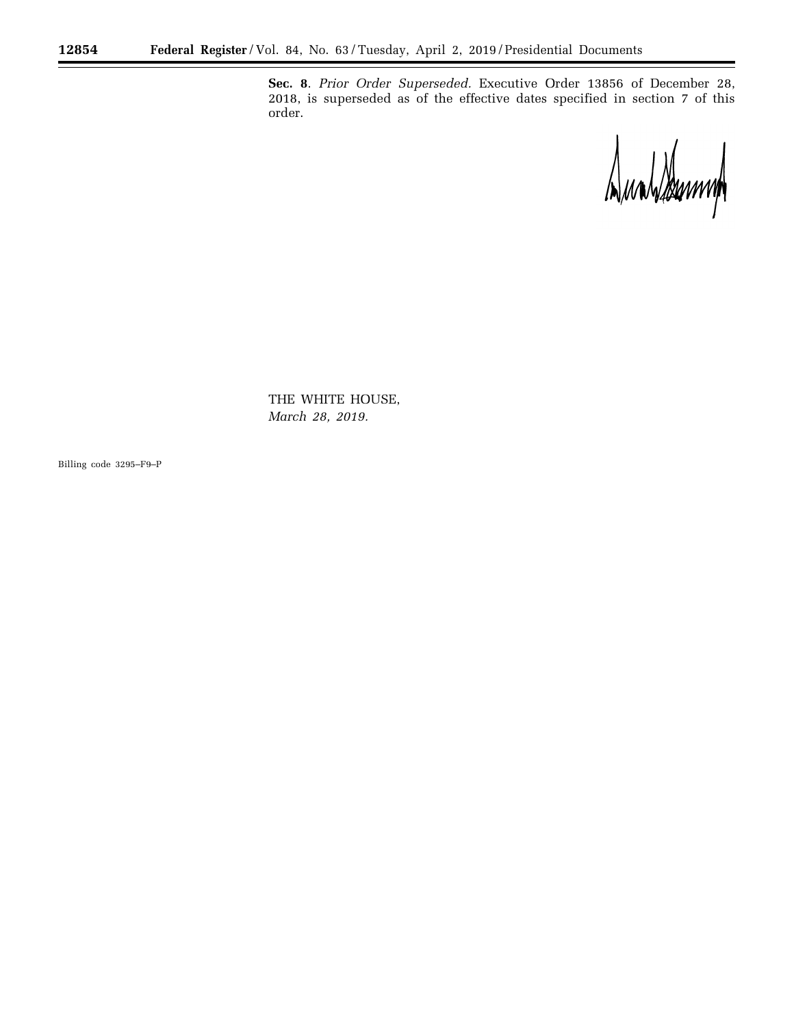**Sec. 8**. *Prior Order Superseded.* Executive Order 13856 of December 28, 2018, is superseded as of the effective dates specified in section 7 of this order.

Dundsbumm

Ξ

THE WHITE HOUSE, *March 28, 2019.* 

Billing code 3295–F9–P

Ξ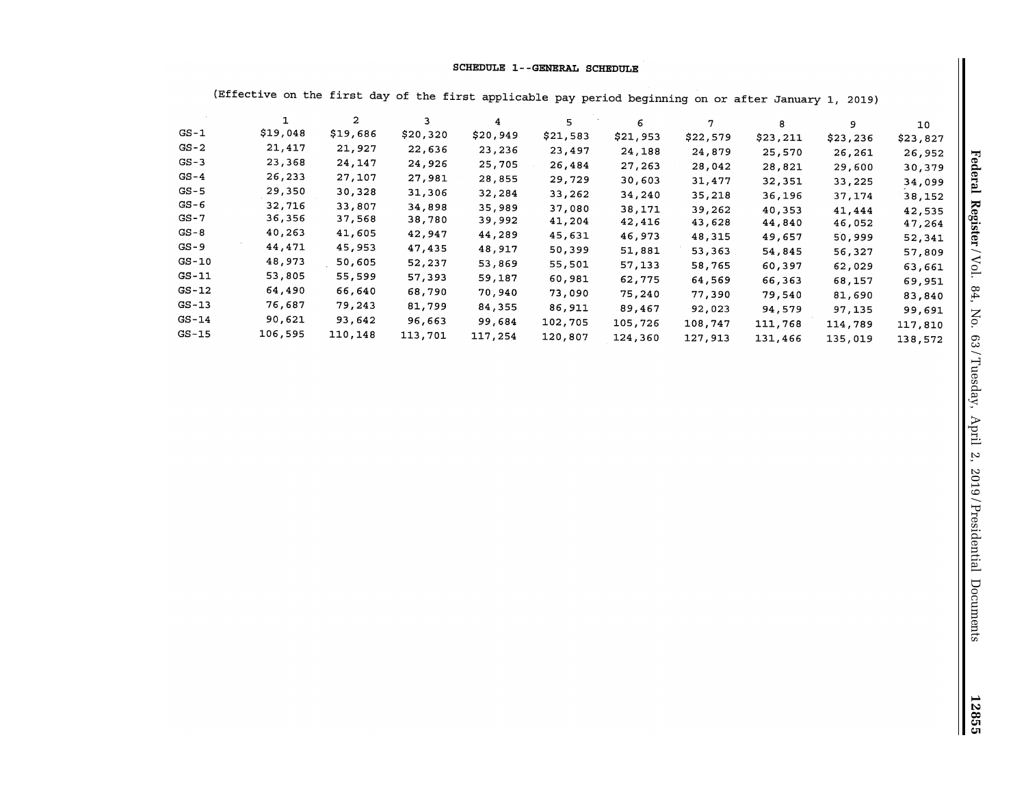## **SCHEDULE 1--GENERAL SCHEDULE**

|          |          | $\mathbf{2}$ |          | 4        | 5        | 6        |          | 8        | 9        | 10       |
|----------|----------|--------------|----------|----------|----------|----------|----------|----------|----------|----------|
| $GS-1$   | \$19,048 | \$19,686     | \$20,320 | \$20,949 | \$21,583 | \$21,953 | \$22,579 | \$23,211 | \$23,236 | \$23,827 |
| $GS-2$   | 21,417   | 21,927       | 22,636   | 23,236   | 23,497   | 24,188   | 24,879   | 25,570   | 26,261   | 26,952   |
| $GS-3$   | 23,368   | 24,147       | 24,926   | 25,705   | 26,484   | 27,263   | 28,042   | 28,821   | 29,600   | 30,379   |
| $GS-4$   | 26,233   | 27,107       | 27,981   | 28,855   | 29,729   | 30,603   | 31,477   | 32,351   | 33,225   | 34,099   |
| $GS - 5$ | 29,350   | 30,328       | 31,306   | 32,284   | 33,262   | 34,240   | 35,218   | 36,196   | 37,174   | 38,152   |
| $GS-6$   | 32,716   | 33,807       | 34,898   | 35,989   | 37,080   | 38,171   | 39,262   | 40,353   | 41,444   | 42,535   |
| $GS - 7$ | 36,356   | 37,568       | 38,780   | 39,992   | 41,204   | 42,416   | 43,628   | 44,840   | 46,052   | 47,264   |
| $GS - 8$ | 40,263   | 41,605       | 42,947   | 44,289   | 45,631   | 46,973   | 48,315   | 49,657   | 50,999   | 52,341   |
| $GS-9$   | 44,471   | 45,953       | 47,435   | 48,917   | 50,399   | 51,881   | 53,363   | 54,845   | 56,327   | 57,809   |
| $GS-10$  | 48,973   | 50,605       | 52,237   | 53,869   | 55,501   | 57,133   | 58,765   | 60,397   | 62,029   | 63,661   |
| $GS-11$  | 53,805   | 55,599       | 57,393   | 59,187   | 60,981   | 62,775   | 64,569   | 66,363   | 68,157   | 69,951   |
| $GS-12$  | 64,490   | 66,640       | 68,790   | 70,940   | 73,090   | 75,240   | 77,390   | 79,540   | 81,690   | 83,840   |
| $GS-13$  | 76,687   | 79,243       | 81,799   | 84,355   | 86,911   | 89,467   | 92,023   | 94,579   | 97,135   | 99,691   |
| $GS-14$  | 90,621   | 93,642       | 96,663   | 99,684   | 102,705  | 105,726  | 108,747  | 111,768  | 114,789  | 117,810  |
| $GS-15$  | 106,595  | 110,148      | 113,701  | 117,254  | 120,807  | 124,360  | 127,913  | 131,466  | 135,019  | 138,572  |

(Effective on the first day of the first applicable pay period beginning on or after January 1, 2019}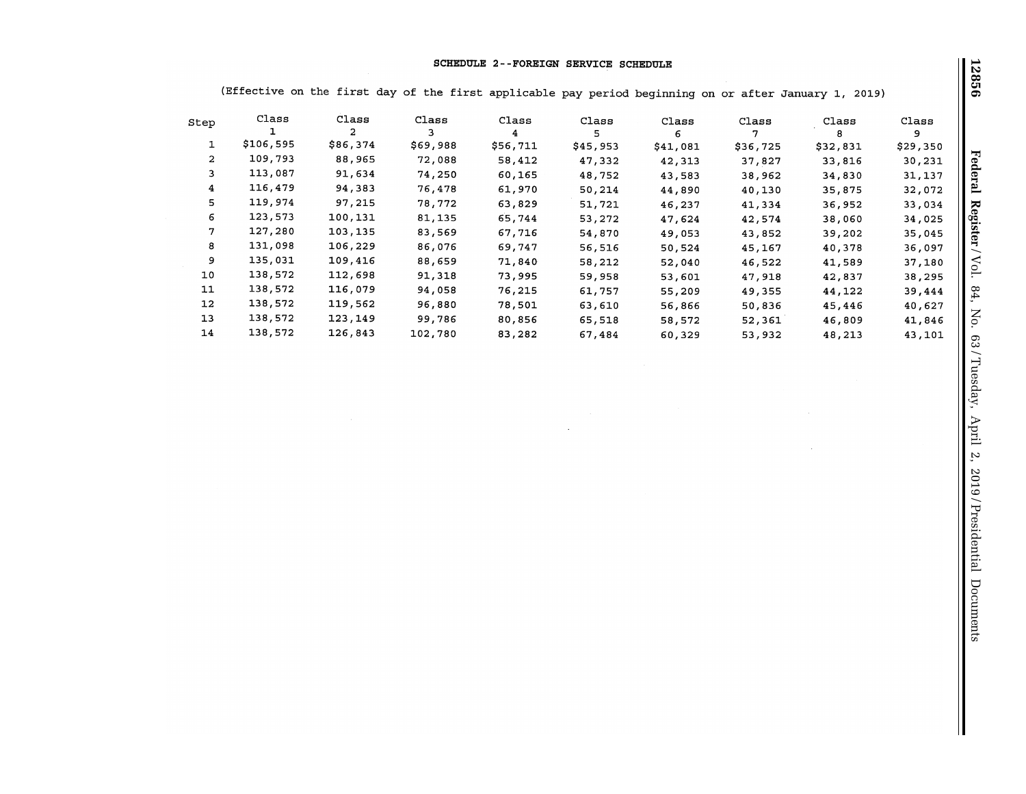## **SCHEDULE 2--FOREIGN SERVICE SCHEDULE**

(Effective on the first day of the first applicable pay period beginning on or after January 1, 2019)

| Step           | Class     | Class    | Class    | Class    | Class    | Class    | Class    | Class    | Class    |
|----------------|-----------|----------|----------|----------|----------|----------|----------|----------|----------|
|                |           | 2        |          | 4        |          | 6        |          |          | 9        |
|                | \$106,595 | \$86,374 | \$69,988 | \$56,711 | \$45,953 | \$41,081 | \$36,725 | \$32,831 | \$29,350 |
| $\overline{2}$ | 109,793   | 88,965   | 72,088   | 58,412   | 47,332   | 42,313   | 37,827   | 33,816   | 30,231   |
| 3              | 113,087   | 91,634   | 74,250   | 60,165   | 48,752   | 43,583   | 38,962   | 34,830   | 31,137   |
| 4              | 116,479   | 94,383   | 76,478   | 61,970   | 50,214   | 44,890   | 40,130   | 35,875   | 32,072   |
| 5.             | 119,974   | 97,215   | 78,772   | 63,829   | 51,721   | 46,237   | 41,334   | 36,952   | 33,034   |
| 6              | 123,573   | 100,131  | 81,135   | 65,744   | 53,272   | 47,624   | 42,574   | 38,060   | 34,025   |
| 7              | 127,280   | 103,135  | 83,569   | 67,716   | 54,870   | 49,053   | 43,852   | 39,202   | 35,045   |
| 8              | 131,098   | 106,229  | 86,076   | 69,747   | 56,516   | 50,524   | 45,167   | 40,378   | 36,097   |
| 9              | 135,031   | 109,416  | 88,659   | 71,840   | 58,212   | 52,040   | 46,522   | 41,589   | 37,180   |
| 10             | 138,572   | 112,698  | 91,318   | 73,995   | 59,958   | 53,601   | 47,918   | 42,837   | 38,295   |
| 11             | 138,572   | 116,079  | 94,058   | 76,215   | 61,757   | 55,209   | 49,355   | 44,122   | 39,444   |
| 12             | 138,572   | 119,562  | 96,880   | 78,501   | 63,610   | 56,866   | 50,836   | 45,446   | 40,627   |
| 13             | 138,572   | 123,149  | 99,786   | 80,856   | 65,518   | 58,572   | 52,361   | 46,809   | 41,846   |
| 14             | 138,572   | 126,843  | 102,780  | 83,282   | 67,484   | 60,329   | 53,932   | 48,213   | 43,101   |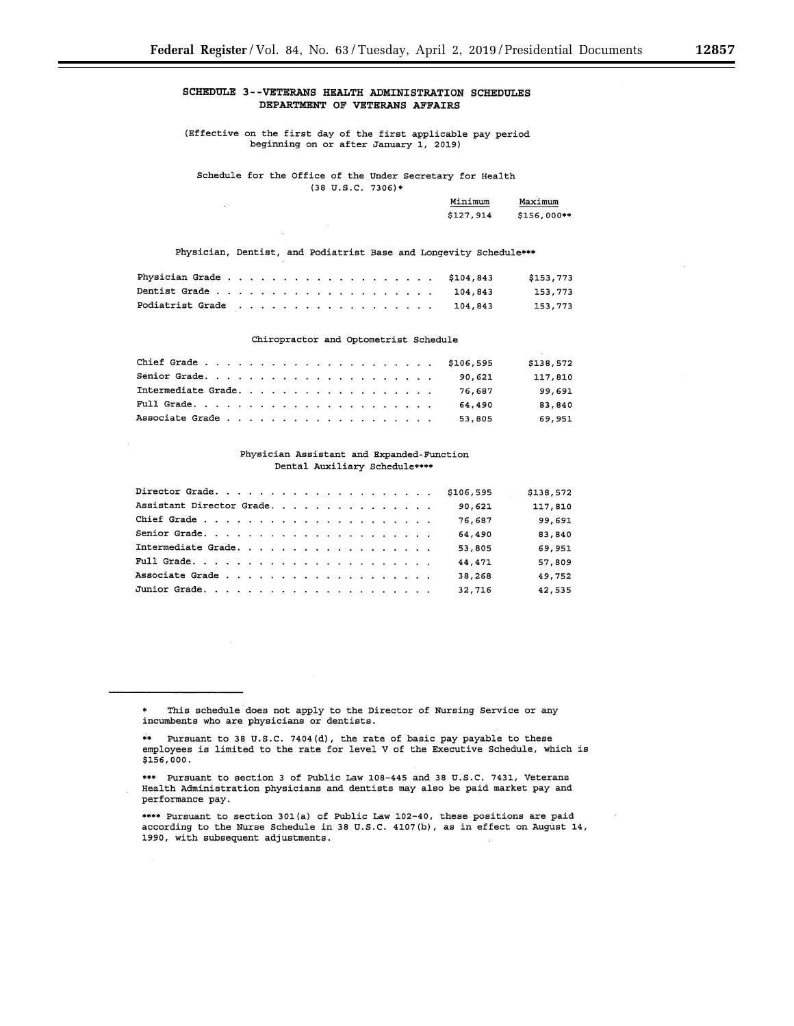# **SCHEDULE 3--VETERANS HEALTH ADMINISTRATION SCHEDULES DEPARTMENT OF VETERANS AFFAIRS**

(Effective on the first day of the first applicable pay period beginning on or after January 1, 2019)

Schedule for the Office of the Under Secretary for Health

(38 u.s.c. 7306)•

| Minimum   | Maximum     |
|-----------|-------------|
| \$127,914 | \$156,000** |
|           |             |

## Physician, Dentist, and Podiatrist Base and Longevity Schedule\*\*\*

|                          |  |  |  |  |  |  |  |  |  |  | \$153,773 |
|--------------------------|--|--|--|--|--|--|--|--|--|--|-----------|
|                          |  |  |  |  |  |  |  |  |  |  | 153.773   |
| Podiatrist Grade 104,843 |  |  |  |  |  |  |  |  |  |  | 153.773   |

## Chiropractor and Optometrist Schedule

|                     | \$138,572         |
|---------------------|-------------------|
|                     | 117,810<br>90.621 |
| Intermediate Grade. | 99,691<br>76.687  |
|                     | 83,840<br>64.490  |
|                     | 69,951<br>53,805  |

## Physician Assistant and Expanded-Function Dental Auxiliary Schedule\*\*\*\*

|                           |  |  |  |  |  |  |  | \$106,595 | \$138,572 |
|---------------------------|--|--|--|--|--|--|--|-----------|-----------|
| Assistant Director Grade. |  |  |  |  |  |  |  | 90,621    | 117,810   |
|                           |  |  |  |  |  |  |  | 76,687    | 99,691    |
|                           |  |  |  |  |  |  |  | 64,490    | 83,840    |
| Intermediate Grade.       |  |  |  |  |  |  |  | 53,805    | 69,951    |
|                           |  |  |  |  |  |  |  | 44.471    | 57,809    |
|                           |  |  |  |  |  |  |  | 38,268    | 49,752    |
|                           |  |  |  |  |  |  |  | 32,716    | 42,535    |

This schedule does not apply to the Director of Nursing Service or any incumbents who are physicians or dentists.

<sup>\*•</sup> Pursuant to 38 U.S.C. 7404(d), the rate of basic pay payable to these employees is limited to the rate for level V of the Executive Schedule, which is \$156,000.

<sup>•••</sup> Pursuant to section 3 of Public Law 108-445 and 38 U.S.C. 7431, Veterans Health Administration physicians and dentists may also be paid market pay and performance pay.

<sup>••••</sup> Pursuant to section 30l(a) of Public Law 102-40, these positions are paid according to the Nurse Schedule in 38 U.S.C. 4107(b), as in effect on August 14, 1990, with subsequent adjustments.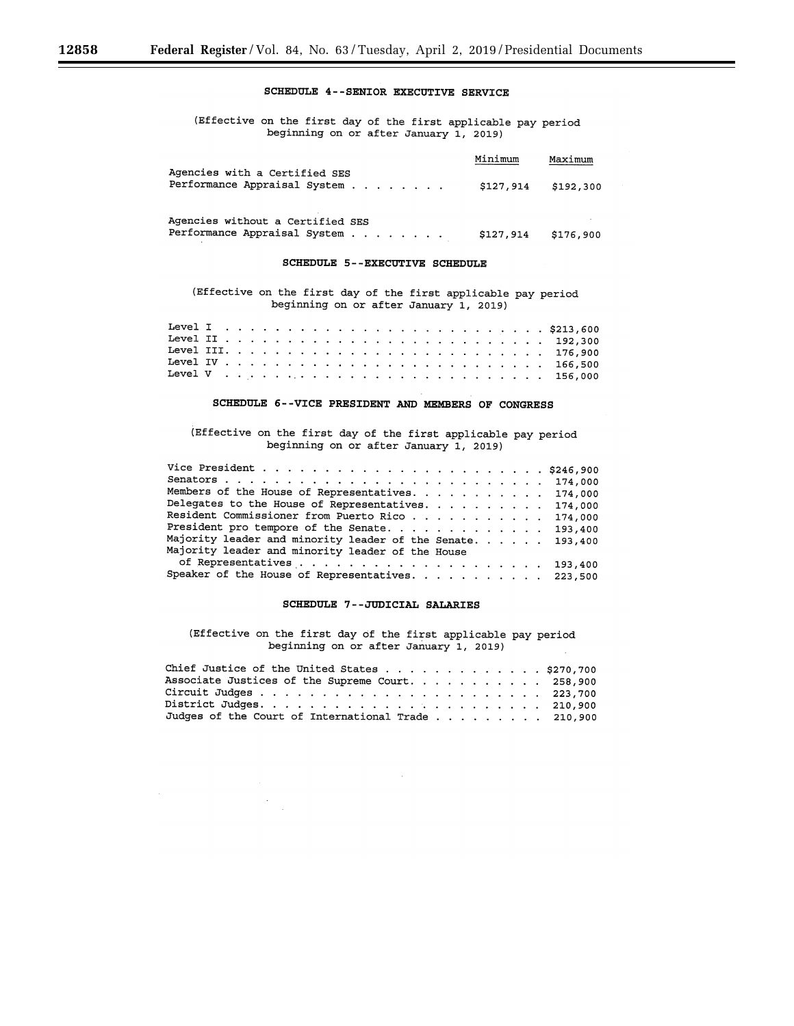# **SCHEDULE 4--SENIOR EXECUTIVE SERVICE**

(Effective on the first day of the first applicable pay period beginning on or after January 1, 2019)

|                                                                  | Minimum   | Maximum   |
|------------------------------------------------------------------|-----------|-----------|
| Agencies with a Certified SES<br>Performance Appraisal System    | \$127,914 | \$192,300 |
| Agencies without a Certified SES<br>Performance Appraisal System | \$127,914 | \$176,900 |

# **SCHEDULE 5--EXECUTIVE SCHEDULE**

(Effective on the first day of the first applicable pay period beginning on or after January 1, 2019)

## **SCHEDULE 6--VICE PRESIDENT AND MEMBERS OF CONGRESS**

(Effective on the first day of the first applicable pay period beginning on or after January 1, 2019)

| Members of the House of Representatives. 174,000           |         |
|------------------------------------------------------------|---------|
| Delegates to the House of Representatives. 174,000         |         |
| Resident Commissioner from Puerto Rico                     | 174,000 |
| President pro tempore of the Senate. 193,400               |         |
| Majority leader and minority leader of the Senate. 193,400 |         |
| Majority leader and minority leader of the House           |         |
|                                                            |         |
| Speaker of the House of Representatives. 223,500           |         |

# **SCHEDULE 7--JODICIAL SALARIES**

(Effective on the first day of the first applicable pay period beginning on or after January 1, 2019)

| Chief Justice of the United States \$270,700       |  |  |  |  |  |
|----------------------------------------------------|--|--|--|--|--|
| Associate Justices of the Supreme Court. 258,900   |  |  |  |  |  |
|                                                    |  |  |  |  |  |
|                                                    |  |  |  |  |  |
| Judges of the Court of International Trade 210,900 |  |  |  |  |  |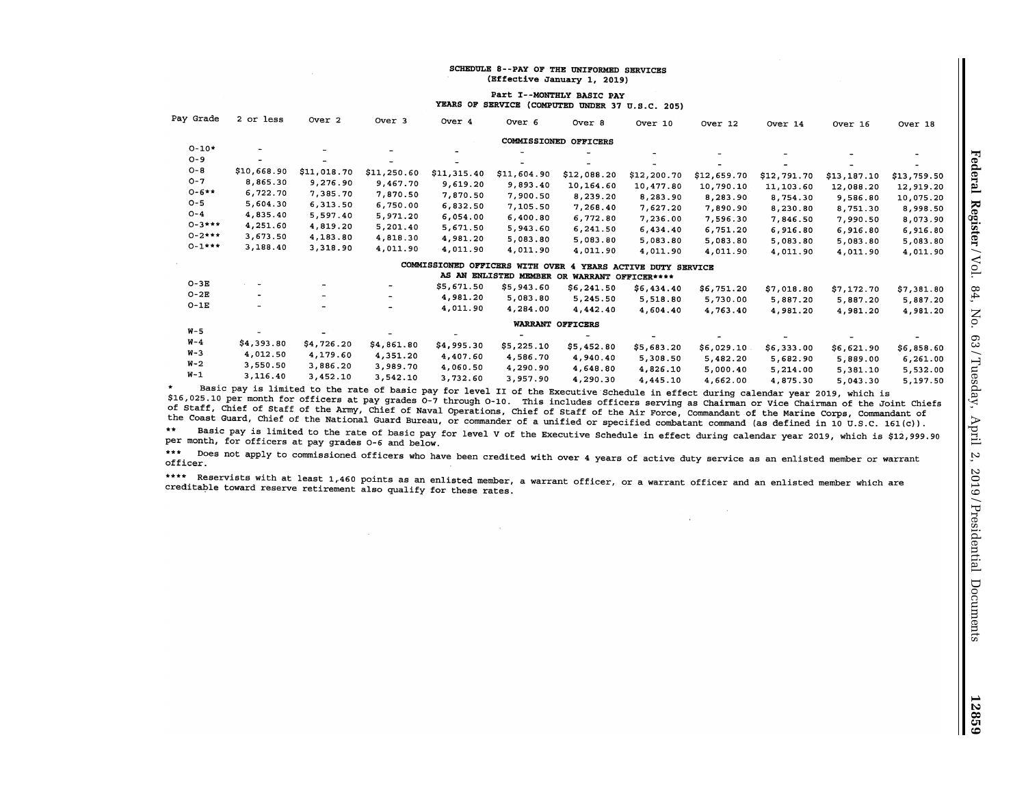#### SCHEDULE 8--PAY OF THE UNIFORMED SERVICES **(Effective January 1, 2019)**

 $\sim$ 

#### Part I--MONTHLY BASIC PAY YEARS OF SERVICE (COMPUTED UNDER 37 U.S.C. 205)

| Pay Grade   | 2 or less                    | Over 2                   | Over <sub>3</sub>        | Over 4      | Over <sub>6</sub>               | Over 8                | Over 10                   | Over 12     | Over 14     | Over 16     | Over 18     |
|-------------|------------------------------|--------------------------|--------------------------|-------------|---------------------------------|-----------------------|---------------------------|-------------|-------------|-------------|-------------|
|             |                              |                          |                          |             |                                 | COMMISSIONED OFFICERS |                           |             |             |             |             |
| $O-10*$     |                              |                          |                          |             |                                 |                       |                           |             |             |             |             |
| $O - 9$     | $\qquad \qquad \blacksquare$ |                          |                          |             |                                 |                       |                           |             |             |             |             |
| $O - B$     | \$10,668.90                  | \$11,018.70              | \$11,250.60              | \$11,315.40 | \$11,604.90                     | \$12,088.20           | \$12,200.70               | \$12,659.70 | \$12,791.70 | \$13,187.10 | \$13,759.50 |
| $O - 7$     | 8,865.30                     | 9,276.90                 | 9,467.70                 | 9,619.20    | 9,893.40                        | 10,164.60             | 10,477.80                 | 10,790.10   | 11,103.60   | 12,088.20   | 12,919.20   |
| $0 - 6**$   | 6,722.70                     | 7,385.70                 | 7,870.50                 | 7,870.50    | 7,900.50                        | 8,239.20              | 8,283.90                  | 8,283.90    | 8,754.30    | 9,586.80    | 10,075.20   |
| $O - 5$     | 5,604.30                     | 6,313.50                 | 6,750.00                 | 6,832.50    | 7,105.50                        | 7,268.40              | 7,627.20                  | 7,890.90    | 8,230.80    | 8,751.30    | 8,998.50    |
| $O - 4$     | 4,835.40                     | 5,597.40                 | 5,971.20                 | 6,054.00    | 6,400.80                        | 6,772.80              | 7,236.00                  | 7,596.30    | 7,846.50    | 7,990.50    | 8,073.90    |
| $0 - 3***$  | 4,251.60                     | 4,819.20                 | 5,201.40                 | 5,671.50    | 5,943.60                        | 6,241.50              | 6,434.40                  | 6,751.20    | 6,916.80    | 6,916.80    | 6,916.80    |
| $0 - 2$ *** | 3,673.50                     | 4,183.80                 | 4,818.30                 | 4,981.20    | 5,083.80                        | 5,083.80              | 5,083.80                  | 5,083.80    | 5,083.80    | 5,083.80    | 5,083.80    |
| $0 - 1***$  | 3,188.40                     | 3,318.90                 | 4,011.90                 | 4,011.90    | 4,011.90                        | 4,011.90              | 4,011.90                  | 4,011.90    | 4,011.90    | 4,011.90    | 4,011.90    |
|             |                              |                          |                          |             | COMMISSIONED OFFICERS WITH OVER | 4                     | YEARS ACTIVE DUTY SERVICE |             |             |             |             |
|             |                              |                          |                          |             | AS AN ENLISTED MEMBER OR        | WARRANT OFFICER****   |                           |             |             |             |             |
| $O-3E$      | $\overline{\phantom{a}}$     | $\overline{\phantom{a}}$ | ۰.                       | \$5,671.50  | \$5,943.60                      | \$6,241.50            | \$6,434.40                | \$6,751.20  | \$7,018.80  | \$7,172.70  | \$7,381.80  |
| $O-2E$      |                              | $\overline{\phantom{0}}$ | -                        | 4,981.20    | 5,083.80                        | 5,245.50              | 5,518.80                  | 5,730.00    | 5,887.20    | 5,887.20    | 5,887.20    |
| $O-1E$      | $-$                          | $\overline{\phantom{0}}$ | $\overline{\phantom{a}}$ | 4,011.90    | 4,284.00                        | 4,442.40              | 4.604.40                  | 4,763.40    | 4,981.20    | 4,981.20    | 4,981.20    |
|             |                              |                          |                          |             |                                 | WARRANT OFFICERS      |                           |             |             |             |             |
| $W - 5$     |                              |                          |                          |             | $\overline{\phantom{0}}$        |                       |                           |             |             |             |             |
| $W - 4$     | \$4,393.80                   | \$4,726.20               | \$4,861.80               | \$4,995.30  | \$5,225.10                      | \$5,452.80            | \$5,683.20                | \$6,029.10  | \$6,333.00  | \$6,621.90  | \$6,858.60  |
| $W-3$       | 4,012.50                     | 4,179.60                 | 4,351.20                 | 4,407.60    | 4,586.70                        | 4,940.40              | 5,308.50                  | 5,482.20    | 5,682.90    | 5,889.00    | 6,261.00    |
| $W-2$       | 3,550.50                     | 3,886.20                 | 3,989.70                 | 4,060.50    | 4,290.90                        | 4,648.80              | 4,826.10                  | 5,000.40    | 5,214.00    | 5,381.10    | 5,532.00    |
| $W-1$       | 3,116.40                     | 3,452.10                 | 3,542.10                 | 3,732.60    | 3,957.90                        | 4,290.30              | 4,445.10                  | 4,662.00    | 4,875.30    | 5,043.30    | 5,197.50    |

 $\star$ Basic pay is limited to the rate of basic pay for level II of the Executive·schedule in effect during calendar year 2019, which is \$16,025.10 per month for officers at pay grades 0-7 through 0-10. This includes officers serving as Chairman or Vice Chairman of the Joint Chiefs of Staff, Chief of Staff of the Army, Chief of Naval Operations, Chief of Staff of the Air Force, Commandant of the Marine Corps, Commandant of the Coast Guard, Chief of the National Guard Bureau, or commander of a unified or specified combatant command (as defined in 10 U.S.C. 161(c)).

Basic pay is limited to the rate of basic pay for level V of the Executive Schedule in effect during calendar year 2019, which is \$12,999.90 per month, for officers at pay grades *0-6* and below.

 $\sim$ 

 $\mathcal{L}$ 

\*\*\* Does not apply to commissioned officers who have been credited with over 4 years of active duty service as an enlisted member or warrant officer.

\*\*\*\* Reservists with at least 1,460 points as an enlisted member, a warrant officer, or a warrant officer and an enlisted member which are creditable toward reserve retirement also qualify for these rates.

 $\sim$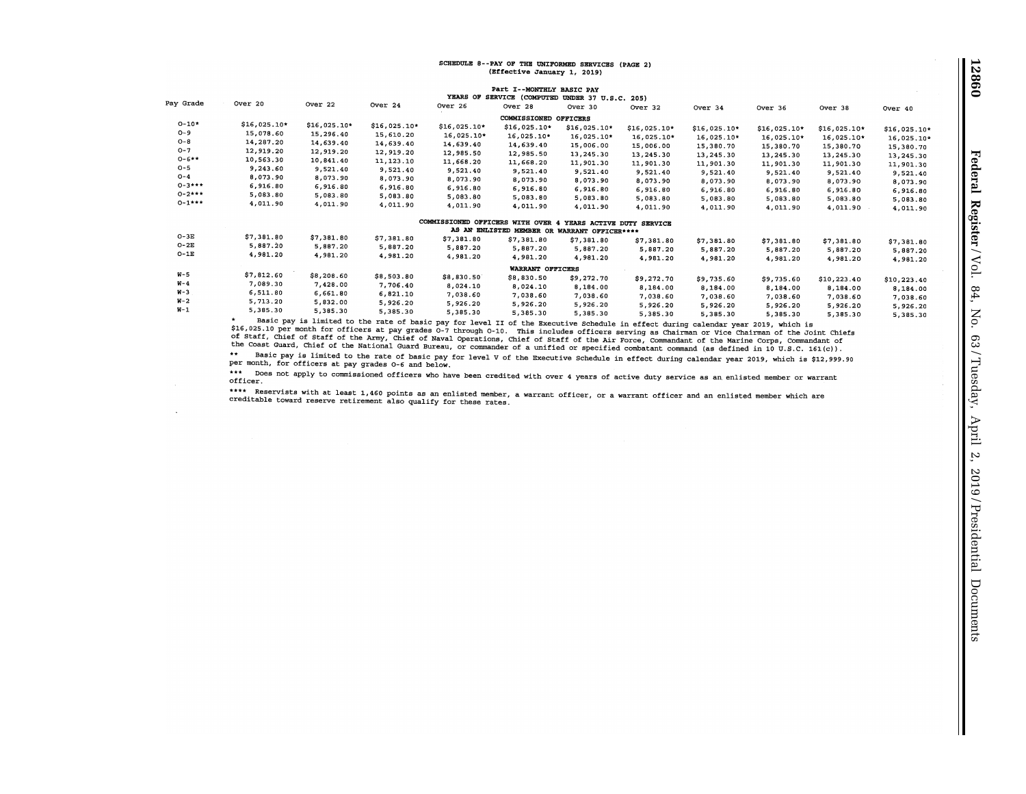#### SCHEDULE 8--PAY OF THE UNIFORMED SERVICES (PAGE 2) (Bffective January 1, 2019)

|             |              |               |               |                                   | Part I--MONTHLY BASIC PAY                    |                           |               |               |               |               |              |
|-------------|--------------|---------------|---------------|-----------------------------------|----------------------------------------------|---------------------------|---------------|---------------|---------------|---------------|--------------|
| Pay Grade   | Over 20      |               |               |                                   | YEARS OF SERVICE (COMPUTED UNDER 37 U.S.C.   |                           | 205)          |               |               |               |              |
|             |              | Over 22       | Over 24       | Over 26                           | Over 28                                      | Over 30                   | Over 32       | Over 34       | Over 36       | Over 38       | Over 40      |
|             |              |               |               |                                   | COMMISSIONED OFFICERS                        |                           |               |               |               |               |              |
| $0 - 10*$   | \$16,025.10* | $$16,025.10*$ | $$16,025.10*$ | $$16,025.10*$                     | $$16,025.10*$                                | $$16,025.10*$             | $$16,025.10*$ | $$16,025.10*$ | $$16,025.10*$ | $$16,025.10*$ | \$16,025.10* |
| $O - 9$     | 15,078.60    | 15,296.40     | 15,610.20     | $16,025.10*$                      | 16,025.10*                                   | 16,025.10*                | 16,025.10*    | 16,025.10*    | 16,025.10*    | $16,025.10*$  | 16,025.10*   |
| $O - 8$     | 14,287.20    | 14,639.40     | 14,639.40     | 14,639.40                         | 14,639.40                                    | 15,006.00                 | 15,006.00     | 15,380.70     | 15,380.70     | 15,380.70     | 15,380.70    |
| $O - 7$     | 12,919.20    | 12,919.20     | 12,919.20     | 12,985.50                         | 12,985.50                                    | 13,245.30                 | 13,245.30     | 13,245.30     | 13,245.30     | 13,245.30     |              |
| $0 - 6 + +$ | 10,563.30    | 10,841.40     | 11,123.10     | 11,668.20                         | 11,668.20                                    | 11,901.30                 | 11,901.30     | 11,901.30     |               |               | 13,245.30    |
| $O - 5$     | 9,243.60     | 9,521.40      | 9,521.40      | 9,521.40                          | 9,521.40                                     | 9,521.40                  | 9,521.40      |               | 11,901.30     | 11,901.30     | 11,901.30    |
| $O-4$       | 8,073.90     | 8,073.90      | 8,073.90      | 8,073.90                          | 8,073.90                                     | 8,073.90                  |               | 9,521.40      | 9,521.40      | 9,521.40      | 9,521.40     |
| $0 - 3$ *** | 6,916.80     | 6,916.80      | 6,916.80      | 6,916.80                          | 6,916.80                                     |                           | 8,073.90      | 8,073.90      | 8,073.90      | 8,073.90      | 8,073.90     |
| $0 - 2$ *** | 5,083.80     | 5,083.80      | 5,083.80      | 5,083.80                          | 5,083.80                                     | 6,916.80                  | 6,916.80      | 6,916.80      | 6,916.80      | 6,916.80      | 6,916.80     |
| $0 - 1***$  | 4,011.90     | 4,011.90      | 4,011.90      | 4,011.90                          |                                              | 5,083.80                  | 5,083.80      | 5,083.80      | 5,083.80      | 5,083.80      | 5,083.80     |
|             |              |               |               |                                   | 4,011.90                                     | 4,011.90                  | 4,011.90      | 4,011.90      | 4,011.90      | 4,011.90      | 4,011.90     |
|             |              |               |               | COMMISSIONED OFFICERS WITH OVER 4 |                                              | YEARS ACTIVE DUTY SERVICE |               |               |               |               |              |
|             |              |               |               |                                   | AS AN ENLISTED MEMBER OR WARRANT OFFICER**** |                           |               |               |               |               |              |
| $O-3E$      | \$7,381.80   | \$7,381.80    | \$7,381.80    | \$7,381.80                        | \$7,381.80                                   | \$7,381.80                | \$7,381.80    | \$7,381.80    | \$7,381.80    | \$7,381.80    | \$7,381.80   |
| $O-2E$      | 5,887.20     | 5,887.20      | 5,887.20      | 5,887.20                          | 5,887.20                                     | 5,887.20                  | 5,887.20      | 5,887.20      | 5,887.20      | 5,887.20      |              |
| $O-1E$      | 4,981.20     | 4,981.20      | 4,981.20      | 4,981.20                          | 4,981.20                                     | 4,981.20                  | 4,981.20      | 4,981.20      | 4,981.20      | 4,981.20      | 5,887.20     |
|             |              |               |               |                                   |                                              |                           |               |               |               |               | 4,981.20     |
| $W - 5$     | \$7,812.60   | \$8,208.60    |               |                                   | WARRANT OFFICERS                             |                           |               |               |               |               |              |
| $W - 4$     | 7,089.30     |               | \$8,503.80    | \$8,830.50                        | \$8,830.50                                   | \$9,272.70                | \$9,272.70    | \$9,735.60    | \$9,735.60    | \$10,223.40   | \$10,223.40  |
| $W-3$       | 6,511.80     | 7,428.00      | 7,706.40      | 8,024.10                          | 8,024.10                                     | 8,184.00                  | 8,184.00      | 8,184.00      | 8,184.00      | 8,184.00      | 8,184.00     |
| $W-2$       |              | 6,661.80      | 6,821.10      | 7,038.60                          | 7,038.60                                     | 7,038.60                  | 7,038.60      | 7,038.60      | 7,038.60      | 7,038.60      | 7,038.60     |
| $W-1$       | 5,713.20     | 5,832.00      | 5,926.20      | 5,926.20                          | 5,926.20                                     | 5,926.20                  | 5,926.20      | 5,926.20      | 5,926.20      | 5,926.20      | 5,926.20     |
|             | 5,385.30     | 5,385.30      | 5,385.30      | 5,385.30                          | 5,385.30                                     | 5,385.30                  | 5,385.30      | 5,385.30      | 5,385.30      | 5.385.30      | 5,385.30     |
|             |              |               |               |                                   |                                              |                           |               |               |               |               |              |

 5,385.30 5,385.30 51385 o 30 5,385.30 5,385.30 5,385.30 Basic pay is limited to the rate of basic pay for level 'II of the Executive Schedule *in* effect during calendar year 2019, which is Early pay to the late of the late of below bay for through 0-10. This includes officers serving as Chairman or Vice Chairman of the Joint Chiefs of Staff, Chief of Staff of the Army, Chief of Naval Operations, Chief of Staff of the Air Force, Commandant of the Marine Corps, Commandant of the Marine Corps, Commandant of the Coast Guard, Chief of the National Guard Bureau, or commander of a unified or specified combatant command (as defined in 10 U.S.C. 161(c)).

Basic pay is limited to the rate of basic pay for level v of the Executive Schedule in effect during calendar year 2019, which is \$12,999.90 per month, for officers at pay grades 0-6 and below.

\*\*\* Does not apply to commissioned officers who have been credited with over 4 years of active duty service as an enlisted member or warrant officer.

\*\*\*\* Reservists with at least 1,460 points as an enlisted member, a warrant officer, or a warrant officer and an enlisted member which are creditable toward reserve retirement also qualify for these rates.

 $\ddot{\phantom{a}}$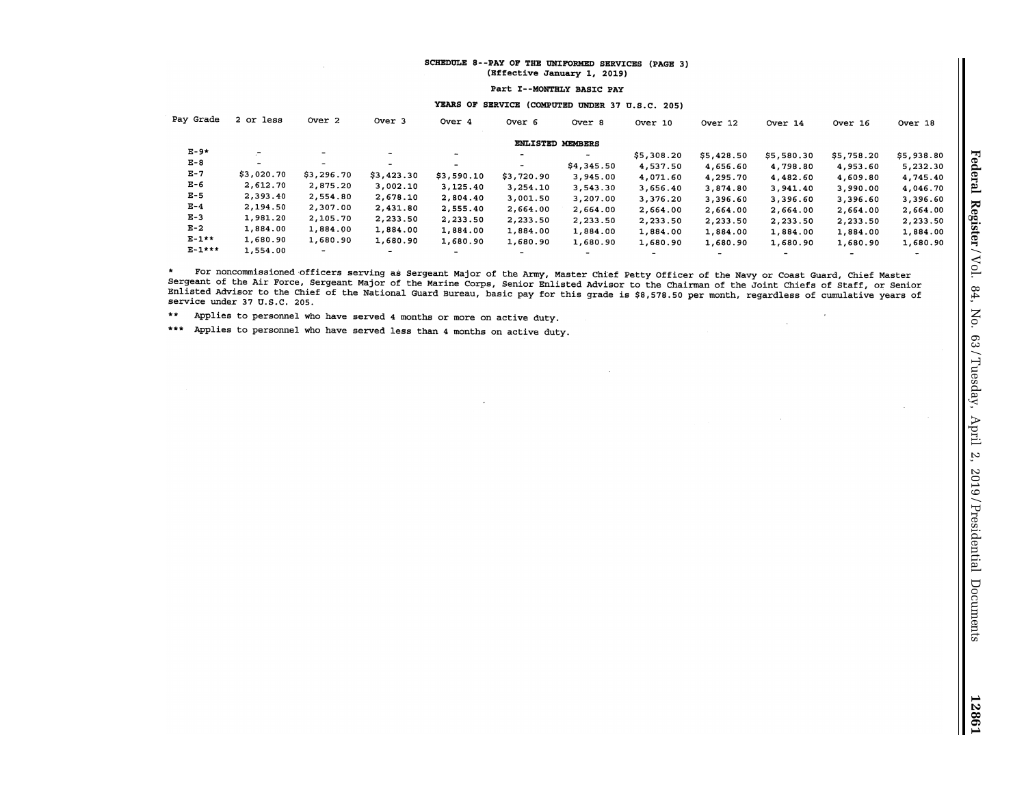## SCHEDULE 8--PAY OF THE UNIFORMED SERVICES (PAGE 3) {Bffective January 1, 2019)

Part I--MONTHLY BASIC PAY

# YEARS OF SERVICE (COMPUTED UNDER 37 U.S.C. 205)

| Pay Grade   | 2 or less      | Over 2                   | Over <sub>3</sub>        | Over 4                   | Over 6                   | Over 8                   | Over 10    | Over 12                  | Over 14        | Over 16                  | Over 18                  |
|-------------|----------------|--------------------------|--------------------------|--------------------------|--------------------------|--------------------------|------------|--------------------------|----------------|--------------------------|--------------------------|
|             |                |                          |                          |                          | <b>ENLISTED MEMBERS</b>  |                          |            |                          |                |                          |                          |
| $E-9*$      | $\overline{a}$ | ۰                        | $\sim$                   | $\overline{\phantom{a}}$ | $\overline{\phantom{a}}$ | $\overline{\phantom{a}}$ | \$5,308.20 | \$5,428.50               | \$5,580.30     | \$5,758.20               | \$5,938.80               |
| $E - 8$     | $\sim$         | $\overline{\phantom{a}}$ | $\overline{\phantom{0}}$ | -                        | $\overline{\phantom{a}}$ | \$4,345.50               | 4,537.50   | 4,656.60                 | 4,798.80       | 4,953.60                 | 5,232.30                 |
| $E-7$       | \$3,020.70     | \$3,296.70               | \$3,423.30               | \$3,590.10               | \$3,720.90               | 3,945.00                 | 4,071.60   | 4,295.70                 | 4,482.60       | 4,609.80                 | 4,745.40                 |
| E-6         | 2,612.70       | 2,875.20                 | 3,002.10                 | 3,125.40                 | 3,254.10                 | 3,543.30                 | 3,656.40   | 3,874.80                 | 3,941.40       | 3,990.00                 | 4,046.70                 |
| $E-5$       | 2,393.40       | 2,554.80                 | 2,678.10                 | 2,804.40                 | 3,001.50                 | 3,207.00                 | 3,376.20   | 3,396.60                 | 3,396.60       | 3,396.60                 | 3,396.60                 |
| $E-4$       | 2,194.50       | 2,307.00                 | 2,431.80                 | 2,555.40                 | 2,664.00                 | 2,664.00                 | 2,664.00   | 2.664.00                 | 2,664.00       | 2,664.00                 | 2,664.00                 |
| $E-3$       | 1,981.20       | 2,105.70                 | 2,233.50                 | 2,233.50                 | 2,233.50                 | 2,233.50                 | 2,233.50   | 2,233.50                 | 2,233.50       | 2,233.50                 | 2,233.50                 |
| $E-2$       | 1,884.00       | 1,884.00                 | 1,884.00                 | 1,884.00                 | 1,884.00                 | 1,884.00                 | 1,884.00   | 1,884.00                 | 1,884.00       | 1,884.00                 | 1,884.00                 |
| $E-1**$     | 1,680.90       | 1,680.90                 | 1,680.90                 | 1,680.90                 | 1,680.90                 | 1,680.90                 | 1,680.90   | 1,680.90                 | 1,680.90       | 1,680.90                 | 1,680.90                 |
| $E - 1$ *** | 1,554.00       | ۰.                       | -                        | -                        | ۰.                       | $\overline{\phantom{a}}$ | -          | $\overline{\phantom{a}}$ | $\blacksquare$ | $\overline{\phantom{a}}$ | $\overline{\phantom{0}}$ |

For noncommissioned·officers serving as Sergeant Major of the Army, Master Chief Petty Officer of the Navy or coast Guard, Chief Master  $\star$ Sergeant of the Air Force, Sergeant Major of the Marine Corps, Senior Enlisted Advisor to the Chairman of the Joint Chiefs of Staff, or Senior Enlisted Advisor to the Chief of the National Guard Bureau, basic pay for this grade is \$8,578.50 per month, regardless of cumulative years of service under 37 u.s.c. 205.

 $\sim$ 

\*\* Applies to personnel who have served 4 months or more on active duty.

\*\*\* Applies to personnel who have served less than 4 months on active duty.

 $\mathcal{L}^{\mathcal{L}}$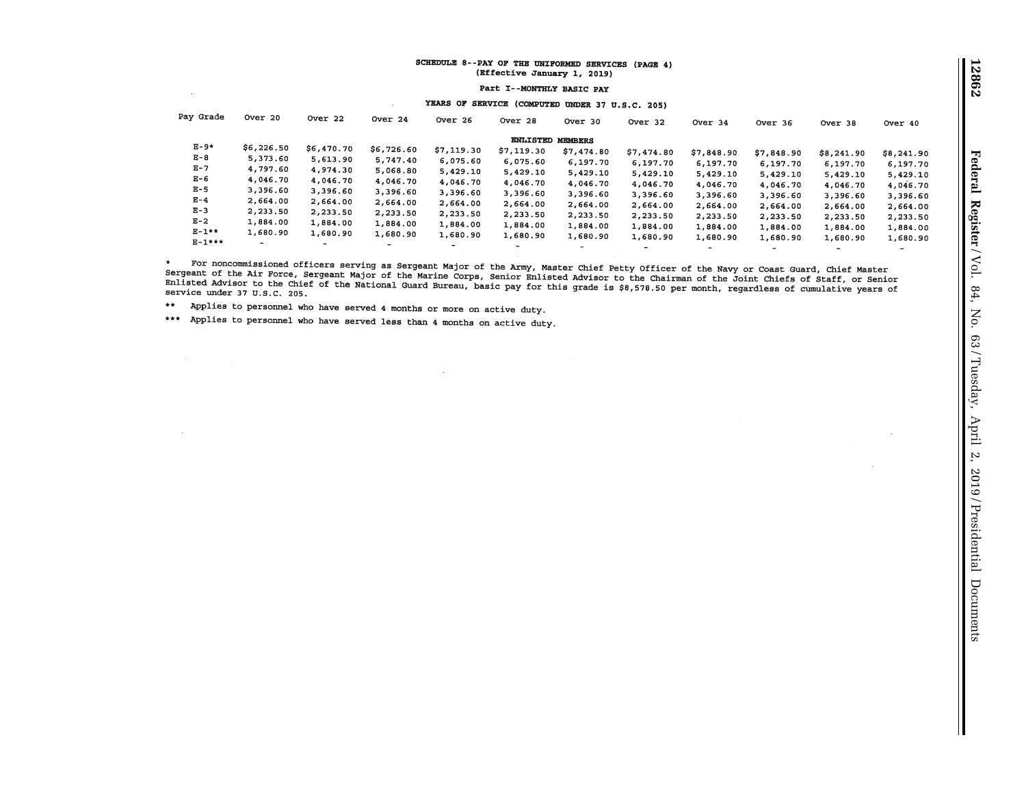## SCHEDULE 8--PAY OF THE UNIFORMED SERVICES (PAGE 4) (Bffective January 1, 2019)

Part X--MONTHLY BASIC PAY

# YEARS OF SERVICE (COMPUTED UNDER 37 U.S.C. 205)

| Pay Grade | Over 20        | Over 22                  | Over 24    | Over 26                  | Over 28          | Over 30    | Over 32                  | Over 34                  | Over 36   | Over 38    | Over 40    |
|-----------|----------------|--------------------------|------------|--------------------------|------------------|------------|--------------------------|--------------------------|-----------|------------|------------|
|           |                |                          |            |                          | ENLISTED MEMBERS |            |                          |                          |           |            |            |
| $E-9*$    | \$6,226.50     | \$6,470.70               | \$6,726.60 | \$7,119.30               | \$7,119.30       | \$7,474.80 | \$7,474.80               | \$7,848.90               | 57,848.90 | \$8,241.90 | \$8,241.90 |
| $E - 8$   | 5,373.60       | 5,613.90                 | 5,747.40   | 6,075.60                 | 6,075.60         | 6,197.70   | 6.197.70                 | 6,197.70                 | 6,197.70  | 6,197.70   | 6,197.70   |
| $E - 7$   | 4,797.60       | 4,974.30                 | 5,068.80   | 5,429.10                 | 5,429.10         | 5,429.10   | 5,429.10                 | 5,429.10                 | 5,429.10  | 5,429.10   |            |
| $E - 6$   | 4,046.70       | 4,046.70                 | 4,046.70   | 4,046.70                 | 4,046.70         | 4,046.70   | 4,046.70                 |                          |           |            | 5,429.10   |
| $E - 5$   | 3,396.60       | 3,396.60                 | 3,396.60   | 3,396.60                 | 3,396.60         | 3,396.60   |                          | 4,046.70                 | 4,046.70  | 4,046.70   | 4,046.70   |
| $E - 4$   | 2,664.00       | 2,664.00                 | 2,664.00   | 2,664.00                 |                  |            | 3,396.60                 | 3,396.60                 | 3,396.60  | 3,396.60   | 3,396.60   |
| $E-3$     | 2,233.50       |                          |            |                          | 2,664.00         | 2,664.00   | 2,664.00                 | 2,664.00                 | 2,664.00  | 2,664.00   | 2,664.00   |
|           |                | 2,233.50                 | 2,233.50   | 2,233.50                 | 2,233.50         | 2,233.50   | 2,233.50                 | 2,233.50                 | 2,233.50  | 2,233.50   | 2,233.50   |
| $E-2$     | 1,884.00       | 1,884.00                 | 1,884.00   | 1,884.00                 | 1,884.00         | 1,884.00   | 1,884.00                 | 1,884.00                 | 1,884.00  | 1,884.00   | 1,884.00   |
| $E-1**$   | 1,680.90       | 1,680.90                 | 1,680.90   | 1,680.90                 | 1,680.90         |            |                          |                          |           |            |            |
| $E-1***$  | $\blacksquare$ |                          |            |                          |                  | 1,680.90   | 1,680.90                 | 1,680.90                 | 1,680.90  | 1,680.90   | 1,680.90   |
|           |                | $\overline{\phantom{0}}$ | -          | $\overline{\phantom{a}}$ | $\sim$           | -          | $\overline{\phantom{0}}$ | $\overline{\phantom{a}}$ | -         | $\sim$     |            |

 $\star$ For noncommissioned officers serving as Sergeant Major of the Army, Master Chief Petty Officer of the Navy or Coast Guard, Chief Master Sergeant of the Air Force, Sergeant Major of the Marine COrps, Senior Enlisted Advisor to the Chairman of the Joint Chiefs of Staff, or Senior Enlisted Advisor to the Chief of the National Guard Bureau, basic pay for this grade is \$8,578.50 per month, regardless of cumulative years of service under 37 U.S.C. 205.

\*\* Applies to personnel who have served 4 montha or more on active duty.

 $\sim 10^{-1}$ 

 $\sim$ 

••• Applies to personnel who have served less than 4 months on active duty .

 $\sim 10^{-1}$ 

 $\mathbb{R}^2$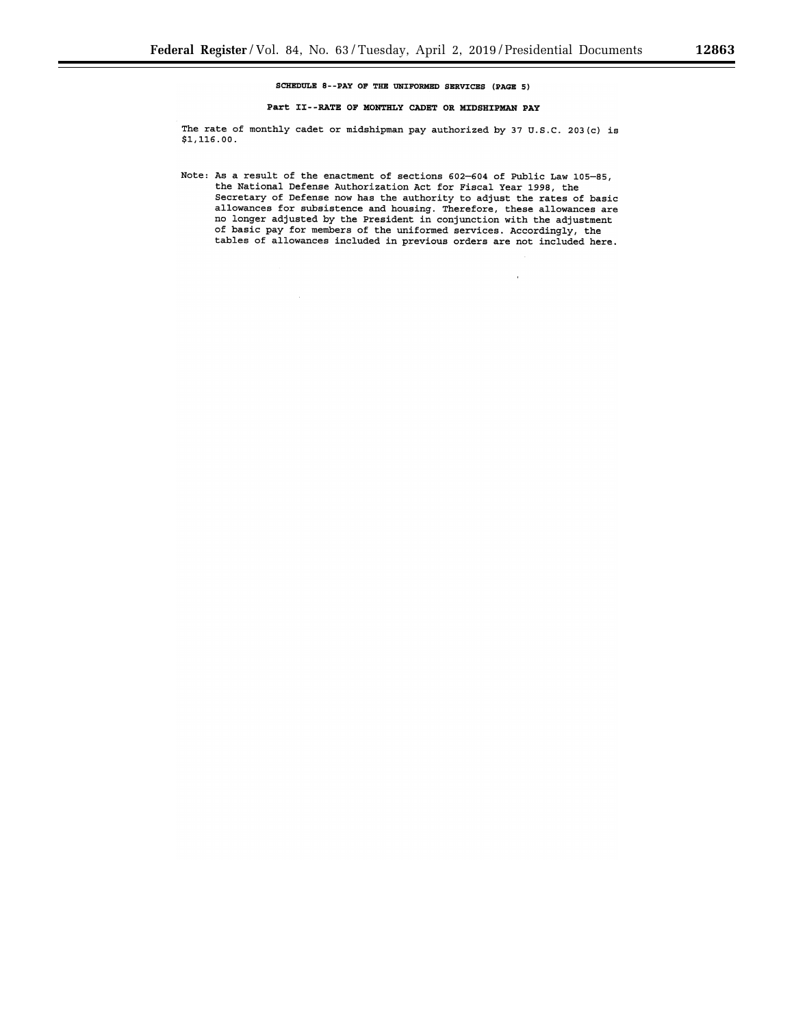# SCHEDULE 8--PAY OF THE UNIFORMED SERVICES (PAGE 5)

## Part II--RATE OF MONTHLY CADET OR MIDSHIPMAN PAY

The rate of monthly cadet or midshipman pay authorized by 37 U.S.C. 203(c) is \$1,116.00.

Note: As a result of the enactment of sections 602-604 of Public Law 105-85, the National Defense Authorization Act for Fiscal Year 1998, the Secretary of Defense now has the authority to adjust the rates of basic allowances for subsistence and housing. Therefore, these allowances are no longer adjusted by the President in conjunction with the adjustment of basic pay for members of the uniformed services. Accordingly, the tables of allowances included in previous orders are not included here.

 $\mathbf{r}$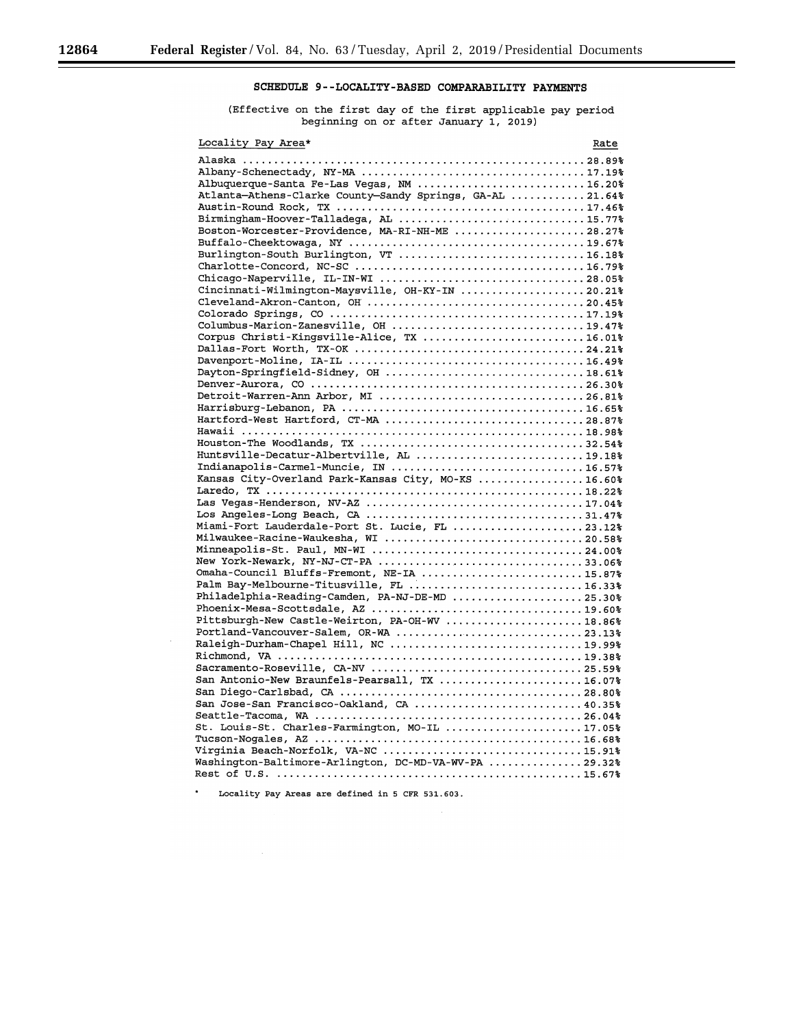# **SCHEDULE 9--LOCALITY-BASED COMPARABILITY PAYMENTS**

٠

(Effective on the first day of the first applicable pay period beginning on or after January 1, 2019)

| Locality Pay Area*                                                                                                                                                                                                                                                                               | Rate |
|--------------------------------------------------------------------------------------------------------------------------------------------------------------------------------------------------------------------------------------------------------------------------------------------------|------|
| Albuquerque-Santa Fe-Las Vegas, NM 16.20%<br>Atlanta-Athens-Clarke County-Sandy Springs, GA-AL 21.64%<br>Birmingham-Hoover-Talladega, AL 15.77%<br>Boston-Worcester-Providence, MA-RI-NH-ME 28.27%<br>Burlington-South Burlington, VT 16.18%<br>Cincinnati-Wilmington-Maysville, OH-KY-IN 20.21% |      |
| Columbus-Marion-Zanesville, OH 19.47%<br>Corpus Christi-Kingsville-Alice, TX 16.01%                                                                                                                                                                                                              |      |
| Dayton-Springfield-Sidney, OH 18.61%                                                                                                                                                                                                                                                             |      |
| Detroit-Warren-Ann Arbor, MI 26.81%                                                                                                                                                                                                                                                              |      |
| Hartford-West Hartford, CT-MA 28.87%                                                                                                                                                                                                                                                             |      |
| Indianapolis-Carmel-Muncie, IN 16.57%<br>Kansas City-Overland Park-Kansas City, MO-KS 16.60%                                                                                                                                                                                                     |      |
| Miami-Fort Lauderdale-Port St. Lucie, FL 23.12%                                                                                                                                                                                                                                                  |      |
| Minneapolis-St. Paul, MN-WI 24.00%<br>New York-Newark, NY-NJ-CT-PA 33.06%<br>Omaha-Council Bluffs-Fremont, NE-IA 15.87%                                                                                                                                                                          |      |
| Palm Bay-Melbourne-Titusville, FL 16.33%<br>Philadelphia-Reading-Camden, PA-NJ-DE-MD 25.30%                                                                                                                                                                                                      |      |
| Pittsburgh-New Castle-Weirton, PA-OH-WV 18.86%<br>Portland-Vancouver-Salem, OR-WA 23.13%<br>Raleigh-Durham-Chapel Hill, NC 19.99%                                                                                                                                                                |      |
| San Antonio-New Braunfels-Pearsall, TX 16.07%                                                                                                                                                                                                                                                    |      |
| San Jose-San Francisco-Oakland, CA  40.35%                                                                                                                                                                                                                                                       |      |
| St. Louis-St. Charles-Farmington, MO-IL 17.05%<br>Virginia Beach-Norfolk, VA-NC 15.91%<br>Washington-Baltimore-Arlington, DC-MD-VA-WV-PA  29.32%                                                                                                                                                 |      |
|                                                                                                                                                                                                                                                                                                  |      |

Locality Pay Areas are defined in 5 CFR 531.603.

 $\star$